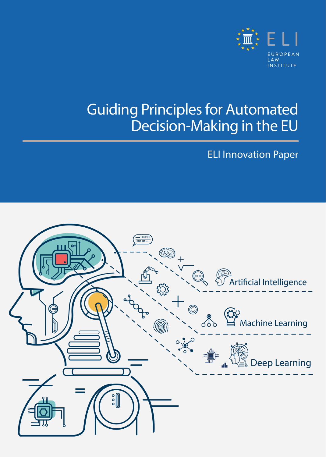

### Guiding Principles for Automated Decision-Making in the EU

ELI Innovation Paper

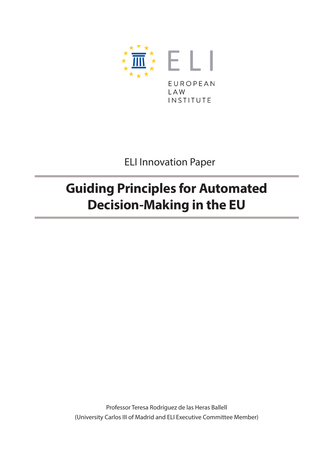

ELI Innovation Paper

### **Guiding Principles for Automated Decision-Making in the EU**

Professor Teresa Rodríguez de las Heras Ballell (University Carlos III of Madrid and ELI Executive Committee Member)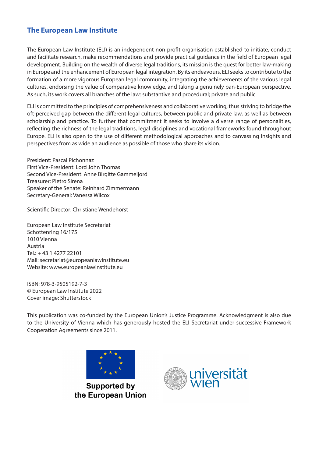#### **The European Law Institute**

The European Law Institute (ELI) is an independent non-profit organisation established to initiate, conduct and facilitate research, make recommendations and provide practical guidance in the field of European legal development. Building on the wealth of diverse legal traditions, its mission is the quest for better law-making in Europe and the enhancement of European legal integration. By its endeavours, ELI seeks to contribute to the formation of a more vigorous European legal community, integrating the achievements of the various legal cultures, endorsing the value of comparative knowledge, and taking a genuinely pan-European perspective. As such, its work covers all branches of the law: substantive and procedural; private and public.

ELI is committed to the principles of comprehensiveness and collaborative working, thus striving to bridge the oft-perceived gap between the different legal cultures, between public and private law, as well as between scholarship and practice. To further that commitment it seeks to involve a diverse range of personalities, reflecting the richness of the legal traditions, legal disciplines and vocational frameworks found throughout Europe. ELI is also open to the use of different methodological approaches and to canvassing insights and perspectives from as wide an audience as possible of those who share its vision.

President: Pascal Pichonnaz First Vice-President: Lord John Thomas Second Vice-President: Anne Birgitte Gammeljord Treasurer: Pietro Sirena Speaker of the Senate: Reinhard Zimmermann Secretary-General: Vanessa Wilcox

Scientific Director: Christiane Wendehorst

European Law Institute Secretariat Schottenring 16/175 1010 Vienna Austria Tel.: + 43 1 4277 22101 Mail: [secretariat@europeanlawinstitute.eu](mailto:secretariat%40europeanlawinstitute.eu?subject=)  Website: [www.europeanlawinstitute.eu](http://www.europeanlawinstitute.eu)

ISBN: 978-3-9505192-7-3 © European Law Institute 2022 Cover image: Shutterstock

This publication was co-funded by the European Union's Justice Programme. Acknowledgment is also due to the University of Vienna which has generously hosted the ELI Secretariat under successive Framework Cooperation Agreements since 2011.



**Supported by** the European Union

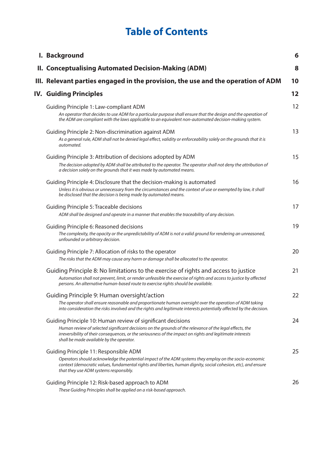### **Table of Contents**

| I. Background                                                                                                                                                                                                                                                                                                                     | 6  |
|-----------------------------------------------------------------------------------------------------------------------------------------------------------------------------------------------------------------------------------------------------------------------------------------------------------------------------------|----|
| <b>II. Conceptualising Automated Decision-Making (ADM)</b>                                                                                                                                                                                                                                                                        | 8  |
| III. Relevant parties engaged in the provision, the use and the operation of ADM                                                                                                                                                                                                                                                  | 10 |
| <b>IV. Guiding Principles</b>                                                                                                                                                                                                                                                                                                     | 12 |
| Guiding Principle 1: Law-compliant ADM<br>An operator that decides to use ADM for a particular purpose shall ensure that the design and the operation of<br>the ADM are compliant with the laws applicable to an equivalent non-automated decision-making system.                                                                 | 12 |
| Guiding Principle 2: Non-discrimination against ADM<br>As a general rule, ADM shall not be denied legal effect, validity or enforceability solely on the grounds that it is<br>automated.                                                                                                                                         | 13 |
| Guiding Principle 3: Attribution of decisions adopted by ADM<br>The decision adopted by ADM shall be attributed to the operator. The operator shall not deny the attribution of<br>a decision solely on the grounds that it was made by automated means.                                                                          | 15 |
| Guiding Principle 4: Disclosure that the decision-making is automated<br>Unless it is obvious or unnecessary from the circumstances and the context of use or exempted by law, it shall<br>be disclosed that the decision is being made by automated means.                                                                       | 16 |
| <b>Guiding Principle 5: Traceable decisions</b><br>ADM shall be designed and operate in a manner that enables the traceability of any decision.                                                                                                                                                                                   | 17 |
| Guiding Principle 6: Reasoned decisions<br>The complexity, the opacity or the unpredictability of ADM is not a valid ground for rendering an unreasoned,<br>unfounded or arbitrary decision.                                                                                                                                      | 19 |
| Guiding Principle 7: Allocation of risks to the operator<br>The risks that the ADM may cause any harm or damage shall be allocated to the operator.                                                                                                                                                                               | 20 |
| Guiding Principle 8: No limitations to the exercise of rights and access to justice<br>Automation shall not prevent, limit, or render unfeasible the exercise of rights and access to justice by affected<br>persons. An alternative human-based route to exercise rights should be available.                                    | 21 |
| Guiding Principle 9: Human oversight/action<br>The operator shall ensure reasonable and proportionate human oversight over the operation of ADM taking<br>into consideration the risks involved and the rights and legitimate interests potentially affected by the decision.                                                     | 22 |
| Guiding Principle 10: Human review of significant decisions<br>Human review of selected significant decisions on the grounds of the relevance of the legal effects, the<br>irreversibility of their consequences, or the seriousness of the impact on rights and legitimate interests<br>shall be made available by the operator. | 24 |
| Guiding Principle 11: Responsible ADM<br>Operators should acknowledge the potential impact of the ADM systems they employ on the socio-economic<br>context (democratic values, fundamental rights and liberties, human dignity, social cohesion, etc), and ensure<br>that they use ADM systems responsibly.                       | 25 |
| Guiding Principle 12: Risk-based approach to ADM<br>These Guiding Principles shall be applied on a risk-based approach.                                                                                                                                                                                                           | 26 |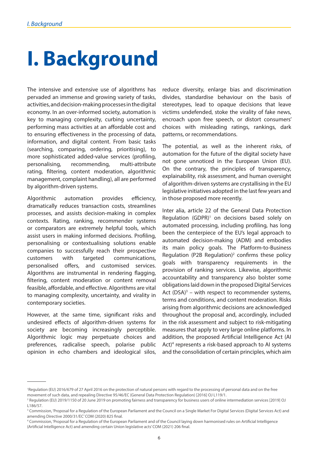# <span id="page-5-0"></span>**I. Background**

The intensive and extensive use of algorithms has pervaded an immense and growing variety of tasks, activities, and decision-making processes in the digital economy. In an over-informed society, automation is key to managing complexity, curbing uncertainty, performing mass activities at an affordable cost and to ensuring effectiveness in the processing of data, information, and digital content. From basic tasks (searching, comparing, ordering, prioritising), to more sophisticated added-value services (profiling, personalising, recommending, multi-attribute rating, filtering, content moderation, algorithmic management, complaint handling), all are performed by algorithm-driven systems.

Algorithmic automation provides efficiency, dramatically reduces transaction costs, streamlines processes, and assists decision-making in complex contexts. Rating, ranking, recommender systems or comparators are extremely helpful tools, which assist users in making informed decisions. Profiling, personalising or contextualising solutions enable companies to successfully reach their prospective customers with targeted communications, personalised offers, and customised services. Algorithms are instrumental in rendering flagging, filtering, content moderation or content removal feasible, affordable, and effective. Algorithms are vital to managing complexity, uncertainty, and virality in contemporary societies.

However, at the same time, significant risks and undesired effects of algorithm-driven systems for society are becoming increasingly perceptible. Algorithmic logic may perpetuate choices and preferences, radicalise speech, polarise public opinion in echo chambers and ideological silos,

reduce diversity, enlarge bias and discrimination divides, standardise behaviour on the basis of stereotypes, lead to opaque decisions that leave victims undefended, stoke the virality of fake news, encroach upon free speech, or distort consumers' choices with misleading ratings, rankings, dark patterns, or recommendations.

The potential, as well as the inherent risks, of automation for the future of the digital society have not gone unnoticed in the European Union (EU). On the contrary, the principles of transparency, explainability, risk assessment, and human oversight of algorithm-driven systems are crystallising in the EU legislative initiatives adopted in the last few years and in those proposed more recently.

Inter alia, article 22 of the General Data Protection Regulation (GDPR)<sup>1</sup> on decisions based solely on automated processing, including profiling, has long been the centerpiece of the EU's legal approach to automated decision-making (ADM) and embodies its main policy goals. The Platform-to-Business Regulation (P2B Regulation) $^2$  confirms these policy goals with transparency requirements in the provision of ranking services. Likewise, algorithmic accountability and transparency also bolster some obligations laid down in the proposed Digital Services Act  $(DSA)^3$  – with respect to recommender systems, terms and conditions, and content moderation. Risks arising from algorithmic decisions are acknowledged throughout the proposal and, accordingly, included in the risk assessment and subject to risk-mitigating measures that apply to very large online platforms. In addition, the proposed Artificial Intelligence Act (AI Act)<sup>4</sup> represents a risk-based approach to AI systems and the consolidation of certain principles, which aim

<sup>&</sup>lt;sup>1</sup>Regulation (EU) 2016/679 of 27 April 2016 on the protection of natural persons with regard to the processing of personal data and on the free movement of such data, and repealing Directive 95/46/EC (General Data Protection Regulation) [2016] OJ L119/1.

<sup>2</sup> Regulation (EU) 2019/1150 of 20 June 2019 on promoting fairness and transparency for business users of online intermediation services [2019] OJ L186/57.

<sup>&</sup>lt;sup>3</sup> Commission, 'Proposal for a Regulation of the European Parliament and the Council on a Single Market For Digital Services (Digital Services Act) and amending Directive 2000/31/EC' COM (2020) 825 final.

<sup>4</sup> Commission, 'Proposal for a Regulation of the European Parliament and of the Council laying down harmonised rules on Artificial Intelligence (Artificial Intelligence Act) and amending certain Union legislative acts' COM (2021) 206 final.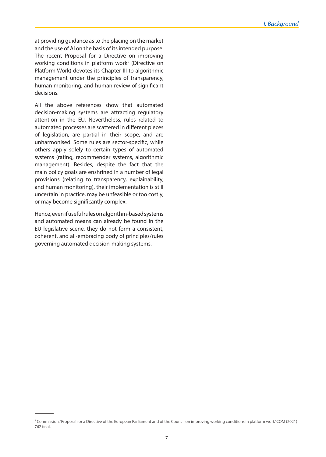at providing guidance as to the placing on the market and the use of AI on the basis of its intended purpose. The recent Proposal for a Directive on improving working conditions in platform work<sup>5</sup> (Directive on Platform Work) devotes its Chapter III to algorithmic management under the principles of transparency, human monitoring, and human review of significant decisions.

All the above references show that automated decision-making systems are attracting regulatory attention in the EU. Nevertheless, rules related to automated processes are scattered in different pieces of legislation, are partial in their scope, and are unharmonised. Some rules are sector-specific, while others apply solely to certain types of automated systems (rating, recommender systems, algorithmic management). Besides, despite the fact that the main policy goals are enshrined in a number of legal provisions (relating to transparency, explainability, and human monitoring), their implementation is still uncertain in practice, may be unfeasible or too costly, or may become significantly complex.

Hence, even if useful rules on algorithm-based systems and automated means can already be found in the EU legislative scene, they do not form a consistent, coherent, and all-embracing body of principles/rules governing automated decision-making systems.

<sup>5</sup> Commission, 'Proposal for a Directive of the European Parliament and of the Council on improving working conditions in platform work' COM (2021) 762 final.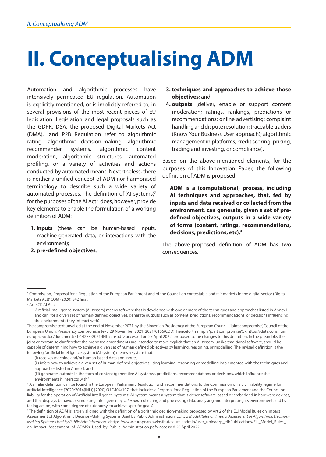# <span id="page-7-0"></span>**II. Conceptualising ADM**

Automation and algorithmic processes have intensively permeated EU regulation. Automation is explicitly mentioned, or is implicitly referred to, in several provisions of the most recent pieces of EU legislation. Legislation and legal proposals such as the GDPR, DSA, the proposed Digital Markets Act (DMA),<sup>6</sup> and P2B Regulation refer to algorithmic rating, algorithmic decision-making, algorithmic recommender systems, algorithmic content moderation, algorithmic structures, automated profiling, or a variety of activities and actions conducted by automated means. Nevertheless, there is neither a unified concept of ADM nor harmonised terminology to describe such a wide variety of automated processes. The definition of 'AI systems',<sup>7</sup> for the purposes of the AI Act,<sup>8</sup> does, however, provide key elements to enable the formulation of a working definition of ADM:

- **1. inputs** (these can be human-based inputs, machine-generated data, or interactions with the environment);
- **2. pre-defined objectives**;
- **3. techniques and approaches to achieve those objectives**; and
- **4. outputs** (deliver, enable or support content moderation; ratings, rankings, predictions or recommendations; online advertising; complaint handling and dispute resolution; traceable traders (Know Your Business User approach); algorithmic management in platforms; credit scoring; pricing, trading and investing, or compliance).

Based on the above-mentioned elements, for the purposes of this Innovation Paper, the following definition of ADM is proposed:

**ADM is a (computational) process, including AI techniques and approaches, that, fed by inputs and data received or collected from the environment, can generate, given a set of predefined objectives, outputs in a wide variety of forms (content, ratings, recommendations, decisions, predictions, etc).9** 

The above-proposed definition of ADM has two consequences.

7 Art 3(1) AI Act:

(i) receives machine and/or human-based data and inputs,

(ii) infers how to achieve a given set of human-defined objectives using learning, reasoning or modelling implemented with the techniques and approaches listed in Annex I, and

(iii) generates outputs in the form of content (generative AI systems), predictions, recommendations or decisions, which influence the environments it interacts with.'

<sup>6</sup> Commission, 'Proposal for a Regulation of the European Parliament and of the Council on contestable and fair markets in the digital sector (Digital Markets Act)' COM (2020) 842 final.

<sup>&#</sup>x27;Artificial intelligence system (AI system) means software that is developed with one or more of the techniques and approaches listed in Annex I and can, for a given set of human-defined objectives, generate outputs such as content, predictions, recommendations, or decisions influencing the environments they interact with'.

The compromise text unveiled at the end of November 2021 by the Slovenian Presidency of the European Council ('joint compromise', Council of the European Union, Presidency compromise text, 29 November 2021, 2021/0106(COD), henceforth simply 'joint compromise'), <https://data.consilium. europa.eu/doc/document/ST-14278-2021-INIT/en/pdf> accessed on 27 April 2022, proposed some changes to this definition. In the preamble, the joint compromise clarifies that the proposed amendments are intended to make explicit that an AI system, unlike traditional software, should be capable of determining how to achieve a given set of human defined objectives by learning, reasoning, or modelling. The revised definition is the following: 'artificial intelligence system (AI system) means a system that:

<sup>&</sup>lt;sup>8</sup> A similar definition can be found in the European Parliament Resolution with recommendations to the Commission on a civil liability regime for artificial intelligence (2020/2014(INL)) [2020] OJ C404/107, that includes a Proposal for a Regulation of the European Parliament and the Council on liability for the operation of Artificial Intelligence-systems: 'AI-system means a system that is either software-based or embedded in hardware devices, and that displays behaviour simulating intelligence by, *inter alia*, collecting and processing data, analysing and interpreting its environment, and by taking action, with some degree of autonomy, to achieve specific goals'.

<sup>9</sup> The definition of ADM is largely aligned with the definition of algorithmic decision-making proposed by Art 2 of the ELI Model Rules on Impact Assessment of Algorithmic Decision-Making Systems Used by Public Administration. ELI, *ELI Model Rules on Impact Assessment of Algorithmic Decision-Making Systems Used by Public Administration*, <https://www.europeanlawinstitute.eu/fileadmin/user\_upload/p\_eli/Publications/ELI\_Model\_Rules\_ on\_Impact\_Assessment\_of\_ADMSs\_Used\_by\_Public\_Administration.pdf> accessed 20 April 2022.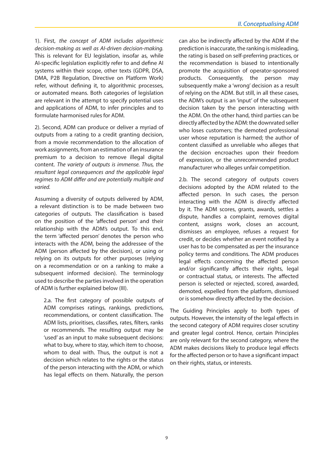1). First, *the concept of ADM includes algorithmic decision-making as well as AI-driven decision-making.* This is relevant for EU legislation, insofar as, while AI-specific legislation explicitly refer to and define AI systems within their scope, other texts (GDPR, DSA, DMA, P2B Regulation, Directive on Platform Work) refer, without defining it, to algorithmic processes, or automated means. Both categories of legislation are relevant in the attempt to specify potential uses and applications of ADM, to infer principles and to formulate harmonised rules for ADM.

2). Second, ADM can produce or deliver a myriad of outputs from a rating to a credit granting decision, from a movie recommendation to the allocation of work assignments, from an estimation of an insurance premium to a decision to remove illegal digital content. *The variety of outputs is immense. Thus, the resultant legal consequences and the applicable legal regimes to ADM differ and are potentially multiple and varied.* 

Assuming a diversity of outputs delivered by ADM, a relevant distinction is to be made between two categories of outputs. The classification is based on the position of the 'affected person' and their relationship with the ADM's output. To this end, the term 'affected person' denotes the person who interacts with the ADM, being the addressee of the ADM (person affected by the decision), or using or relying on its outputs for other purposes (relying on a recommendation or on a ranking to make a subsequent informed decision). The terminology used to describe the parties involved in the operation of ADM is further explained below (III).

2.a. The first category of possible outputs of ADM comprises ratings, rankings, predictions, recommendations, or content classification. The ADM lists, prioritises, classifies, rates, filters, ranks or recommends. The resulting output may be 'used' as an input to make subsequent decisions: what to buy, where to stay, which item to choose, whom to deal with. Thus, the output is not a decision which relates to the rights or the status of the person interacting with the ADM, or which has legal effects on them. Naturally, the person

can also be indirectly affected by the ADM if the prediction is inaccurate, the ranking is misleading, the rating is based on self-preferring practices, or the recommendation is biased to intentionally promote the acquisition of operator-sponsored products. Consequently, the person may subsequently make a 'wrong' decision as a result of relying on the ADM. But still, in all these cases, the ADM's output is an 'input' of the subsequent decision taken by the person interacting with the ADM. On the other hand, third parties can be directly affected by the ADM: the downrated seller who loses customers; the demoted professional user whose reputation is harmed; the author of content classified as unreliable who alleges that the decision encroaches upon their freedom of expression, or the unrecommended product manufacturer who alleges unfair competition.

2.b. The second category of outputs covers decisions adopted by the ADM related to the affected person. In such cases, the person interacting with the ADM is directly affected by it. The ADM scores, grants, awards, settles a dispute, handles a complaint, removes digital content, assigns work, closes an account, dismisses an employee, refuses a request for credit, or decides whether an event notified by a user has to be compensated as per the insurance policy terms and conditions. The ADM produces legal effects concerning the affected person and/or significantly affects their rights, legal or contractual status, or interests. The affected person is selected or rejected, scored, awarded, demoted, expelled from the platform, dismissed or is somehow directly affected by the decision.

The Guiding Principles apply to both types of outputs. However, the intensity of the legal effects in the second category of ADM requires closer scrutiny and greater legal control. Hence, certain Principles are only relevant for the second category, where the ADM makes decisions likely to produce legal effects for the affected person or to have a significant impact on their rights, status, or interests.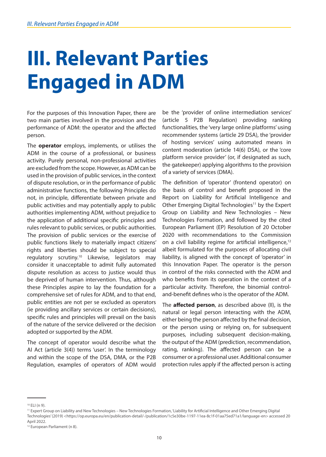### <span id="page-9-0"></span>**III. Relevant Parties Engaged in ADM**

For the purposes of this Innovation Paper, there are two main parties involved in the provision and the performance of ADM: the operator and the affected person.

The **operator** employs, implements, or utilises the ADM in the course of a professional, or business activity. Purely personal, non-professional activities are excluded from the scope. However, as ADM can be used in the provision of public services, in the context of dispute resolution, or in the performance of public administrative functions, the following Principles do not, in principle, differentiate between private and public activities and may potentially apply to public authorities implementing ADM, without prejudice to the application of additional specific principles and rules relevant to public services, or public authorities. The provision of public services or the exercise of public functions likely to materially impact citizens' rights and liberties should be subject to special regulatory scrutiny.<sup>10</sup> Likewise, legislators may consider it unacceptable to admit fully automated dispute resolution as access to justice would thus be deprived of human intervention. Thus, although these Principles aspire to lay the foundation for a comprehensive set of rules for ADM, and to that end, public entities are not per se excluded as operators (ie providing ancillary services or certain decisions), specific rules and principles will prevail on the basis of the nature of the service delivered or the decision adopted or supported by the ADM.

The concept of operator would describe what the AI Act (article 3(4)) terms 'user'. In the terminology and within the scope of the DSA, DMA, or the P2B Regulation, examples of operators of ADM would

be the 'provider of online intermediation services' (article 5 P2B Regulation) providing ranking functionalities, the 'very large online platforms' using recommender systems (article 29 DSA), the 'provider of hosting services' using automated means in content moderation (article 14(6) DSA), or the 'core platform service provider' (or, if designated as such, the gatekeeper) applying algorithms to the provision of a variety of services (DMA).

The definition of 'operator' (frontend operator) on the basis of control and benefit proposed in the Report on Liability for Artificial Intelligence and Other Emerging Digital Technologies<sup>11</sup> by the Expert Group on Liability and New Technologies – New Technologies Formation, and followed by the cited European Parliament (EP) Resolution of 20 October 2020 with recommendations to the Commission on a civil liability regime for artificial intelligence,<sup>12</sup> albeit formulated for the purposes of allocating civil liability, is aligned with the concept of 'operator' in this Innovation Paper. The operator is the person in control of the risks connected with the ADM and who benefits from its operation in the context of a particular activity. Therefore, the binomial controland-benefit defines who is the operator of the ADM.

The **affected person**, as described above (II), is the natural or legal person interacting with the ADM, either being the person affected by the final decision, or the person using or relying on, for subsequent purposes, including subsequent decision-making, the output of the ADM (prediction, recommendation, rating, ranking). The affected person can be a consumer or a professional user. Additional consumer protection rules apply if the affected person is acting

<sup>10</sup> ELI (n 9).

<sup>11</sup> Expert Group on Liability and New Technologies – New Technologies Formation, 'Liability for Artificial Intelligence and Other Emerging Digital Technologies' (2019) <https://op.europa.eu/en/publication-detail/-/publication/1c5e30be-1197-11ea-8c1f-01aa75ed71a1/language-en> accessed 20 April 2022.

<sup>&</sup>lt;sup>12</sup> European Parliament (n 8).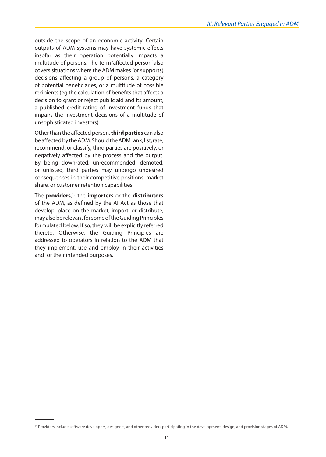outside the scope of an economic activity. Certain outputs of ADM systems may have systemic effects insofar as their operation potentially impacts a multitude of persons. The term 'affected person' also covers situations where the ADM makes (or supports) decisions affecting a group of persons, a category of potential beneficiaries, or a multitude of possible recipients (eg the calculation of benefits that affects a decision to grant or reject public aid and its amount, a published credit rating of investment funds that impairs the investment decisions of a multitude of unsophisticated investors).

Other than the affected person, **third parties** can also be affected by the ADM. Should the ADM rank, list, rate, recommend, or classify, third parties are positively, or negatively affected by the process and the output. By being downrated, unrecommended, demoted, or unlisted, third parties may undergo undesired consequences in their competitive positions, market share, or customer retention capabilities.

The **providers**, 13 the **importers** or the **distributors** of the ADM, as defined by the AI Act as those that develop, place on the market, import, or distribute, may also be relevant for some of the Guiding Principles formulated below. If so, they will be explicitly referred thereto. Otherwise, the Guiding Principles are addressed to operators in relation to the ADM that they implement, use and employ in their activities and for their intended purposes.

<sup>&</sup>lt;sup>13</sup> Providers include software developers, designers, and other providers participating in the development, design, and provision stages of ADM.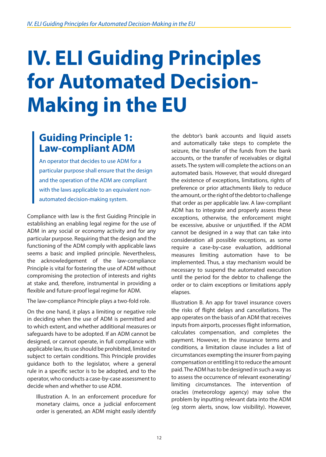# <span id="page-11-0"></span>**IV. ELI Guiding Principles for Automated Decision-Making in the EU**

#### **Guiding Principle 1: Law-compliant ADM**

An operator that decides to use ADM for a particular purpose shall ensure that the design and the operation of the ADM are compliant with the laws applicable to an equivalent nonautomated decision-making system.

Compliance with law is the first Guiding Principle in establishing an enabling legal regime for the use of ADM in any social or economy activity and for any particular purpose. Requiring that the design and the functioning of the ADM comply with applicable laws seems a basic and implied principle. Nevertheless, the acknowledgement of the law-compliance Principle is vital for fostering the use of ADM without compromising the protection of interests and rights at stake and, therefore, instrumental in providing a flexible and future-proof legal regime for ADM.

The law-compliance Principle plays a two-fold role.

On the one hand, it plays a limiting or negative role in deciding when the use of ADM is permitted and to which extent, and whether additional measures or safeguards have to be adopted. If an ADM cannot be designed, or cannot operate, in full compliance with applicable law, its use should be prohibited, limited or subject to certain conditions. This Principle provides guidance both to the legislator, where a general rule in a specific sector is to be adopted, and to the operator, who conducts a case-by-case assessment to decide when and whether to use ADM.

Illustration A. In an enforcement procedure for monetary claims, once a judicial enforcement order is generated, an ADM might easily identify the debtor's bank accounts and liquid assets and automatically take steps to complete the seizure, the transfer of the funds from the bank accounts, or the transfer of receivables or digital assets. The system will complete the actions on an automated basis. However, that would disregard the existence of exceptions, limitations, rights of preference or prior attachments likely to reduce the amount, or the right of the debtor to challenge that order as per applicable law. A law-compliant ADM has to integrate and properly assess these exceptions, otherwise, the enforcement might be excessive, abusive or unjustified. If the ADM cannot be designed in a way that can take into consideration all possible exceptions, as some require a case-by-case evaluation, additional measures limiting automation have to be implemented. Thus, a stay mechanism would be necessary to suspend the automated execution until the period for the debtor to challenge the order or to claim exceptions or limitations apply elapses.

Illustration B. An app for travel insurance covers the risks of flight delays and cancellations. The app operates on the basis of an ADM that receives inputs from airports, processes flight information, calculates compensation, and completes the payment. However, in the insurance terms and conditions, a limitation clause includes a list of circumstances exempting the insurer from paying compensation or entitling it to reduce the amount paid. The ADM has to be designed in such a way as to assess the occurrence of relevant exonerating/ limiting circumstances. The intervention of oracles (meteorology agency) may solve the problem by inputting relevant data into the ADM (eg storm alerts, snow, low visibility). However,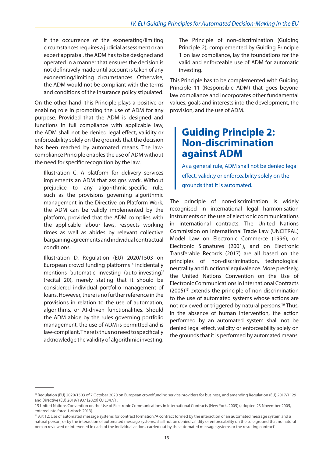<span id="page-12-0"></span>if the occurrence of the exonerating/limiting circumstances requires a judicial assessment or an expert appraisal, the ADM has to be designed and operated in a manner that ensures the decision is not definitively made until account is taken of any exonerating/limiting circumstances. Otherwise, the ADM would not be compliant with the terms and conditions of the insurance policy stipulated.

On the other hand, this Principle plays a positive or enabling role in promoting the use of ADM for any purpose. Provided that the ADM is designed and functions in full compliance with applicable law, the ADM shall not be denied legal effect, validity or enforceability solely on the grounds that the decision has been reached by automated means. The lawcompliance Principle enables the use of ADM without the need for specific recognition by the law.

Illustration C. A platform for delivery services implements an ADM that assigns work. Without prejudice to any algorithmic-specific rule, such as the provisions governing algorithmic management in the Directive on Platform Work, the ADM can be validly implemented by the platform, provided that the ADM complies with the applicable labour laws, respects working times as well as abides by relevant collective bargaining agreements and individual contractual conditions.

Illustration D. Regulation (EU) 2020/1503 on European crowd funding platforms<sup>14</sup> incidentally mentions 'automatic investing (auto-investing)' (recital 20), merely stating that it should be considered individual portfolio management of loans. However, there is no further reference in the provisions in relation to the use of automation, algorithms, or AI-driven functionalities. Should the ADM abide by the rules governing portfolio management, the use of ADM is permitted and is law-compliant. There is thus no need to specifically acknowledge the validity of algorithmic investing.

The Principle of non-discrimination (Guiding Principle 2), complemented by Guiding Principle 1 on law compliance, lay the foundations for the valid and enforceable use of ADM for automatic investing.

This Principle has to be complemented with Guiding Principle 11 (Responsible ADM) that goes beyond law compliance and incorporates other fundamental values, goals and interests into the development, the provision, and the use of ADM.

#### **Guiding Principle 2: Non-discrimination against ADM**

As a general rule, ADM shall not be denied legal effect, validity or enforceability solely on the grounds that it is automated.

The principle of non-discrimination is widely recognised in international legal harmonisation instruments on the use of electronic communications in international contracts. The United Nations Commission on International Trade Law (UNCITRAL) Model Law on Electronic Commerce (1996), on Electronic Signatures (2001), and on Electronic Transferable Records (2017) are all based on the principles of non-discrimination, technological neutrality and functional equivalence. More precisely, the United Nations Convention on the Use of Electronic Communications in International Contracts  $(2005)^{15}$  extends the principle of non-discrimination to the use of automated systems whose actions are not reviewed or triggered by natural persons.<sup>16</sup> Thus, in the absence of human intervention, the action performed by an automated system shall not be denied legal effect, validity or enforceability solely on the grounds that it is performed by automated means.

<sup>14</sup> Regulation (EU) 2020/1503 of 7 October 2020 on European crowdfunding service providers for business, and amending Regulation (EU) 2017/1129 and Directive (EU) 2019/1937 [2020] OJ L347/1.

<sup>15</sup> United Nations Convention on the Use of Electronic Communications in International Contracts (New York, 2005) (adopted 23 November 2005, entered into force 1 March 2013).

<sup>&</sup>lt;sup>16</sup> Art 12: Use of automated message systems for contract formation: 'A contract formed by the interaction of an automated message system and a natural person, or by the interaction of automated message systems, shall not be denied validity or enforceability on the sole ground that no natural person reviewed or intervened in each of the individual actions carried out by the automated message systems or the resulting contract'.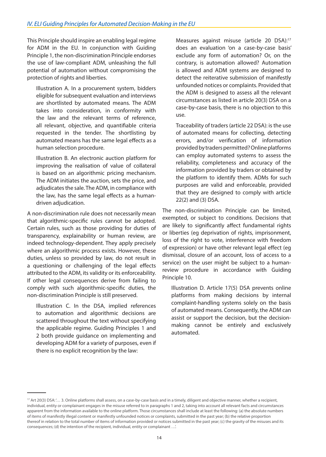This Principle should inspire an enabling legal regime for ADM in the EU. In conjunction with Guiding Principle 1, the non-discrimination Principle endorses the use of law-compliant ADM, unleashing the full potential of automation without compromising the protection of rights and liberties.

Illustration A. In a procurement system, bidders eligible for subsequent evaluation and interviews are shortlisted by automated means. The ADM takes into consideration, in conformity with the law and the relevant terms of reference, all relevant, objective, and quantifiable criteria requested in the tender. The shortlisting by automated means has the same legal effects as a human selection procedure.

Illustration B. An electronic auction platform for improving the realisation of value of collateral is based on an algorithmic pricing mechanism. The ADM initiates the auction, sets the price, and adjudicates the sale. The ADM, in compliance with the law, has the same legal effects as a humandriven adjudication.

A non-discrimination rule does not necessarily mean that algorithmic-specific rules cannot be adopted. Certain rules, such as those providing for duties of transparency, explainability or human review, are indeed technology-dependent. They apply precisely where an algorithmic process exists. However, these duties, unless so provided by law, do not result in a questioning or challenging of the legal effects attributed to the ADM, its validity or its enforceability. If other legal consequences derive from failing to comply with such algorithmic-specific duties, the non-discrimination Principle is still preserved.

Illustration C. In the DSA, implied references to automation and algorithmic decisions are scattered throughout the text without specifying the applicable regime. Guiding Principles 1 and 2 both provide guidance on implementing and developing ADM for a variety of purposes, even if there is no explicit recognition by the law:

Measures against misuse (article 20 DSA):<sup>17</sup> does an evaluation 'on a case-by-case basis' exclude any form of automation? Or, on the contrary, is automation allowed? Automation is allowed and ADM systems are designed to detect the reiterative submission of manifestly unfounded notices or complaints. Provided that the ADM is designed to assess all the relevant circumstances as listed in article 20(3) DSA on a case-by-case basis, there is no objection to this use.

Traceability of traders (article 22 DSA): is the use of automated means for collecting, detecting errors, and/or verification of information provided by traders permitted? Online platforms can employ automated systems to assess the reliability, completeness and accuracy of the information provided by traders or obtained by the platform to identify them. ADMs for such purposes are valid and enforceable, provided that they are designed to comply with article 22(2) and (3) DSA.

The non-discrimination Principle can be limited, exempted, or subject to conditions. Decisions that are likely to significantly affect fundamental rights or liberties (eg deprivation of rights, imprisonment, loss of the right to vote, interference with freedom of expression) or have other relevant legal effect (eg dismissal, closure of an account, loss of access to a service) on the user might be subject to a humanreview procedure in accordance with Guiding Principle 10.

Illustration D. Article 17(5) DSA prevents online platforms from making decisions by internal complaint-handling systems solely on the basis of automated means. Consequently, the ADM can assist or support the decision, but the decisionmaking cannot be entirely and exclusively automated.

<sup>&</sup>lt;sup>17</sup> Art 20(3) DSA: '... 3. Online platforms shall assess, on a case-by-case basis and in a timely, diligent and objective manner, whether a recipient, individual, entity or complainant engages in the misuse referred to in paragraphs 1 and 2, taking into account all relevant facts and circumstances apparent from the information available to the online platform. Those circumstances shall include at least the following: (a) the absolute numbers of items of manifestly illegal content or manifestly unfounded notices or complaints, submitted in the past year; (b) the relative proportion thereof in relation to the total number of items of information provided or notices submitted in the past year; (c) the gravity of the misuses and its consequences; (d) the intention of the recipient, individual, entity or complainant …'.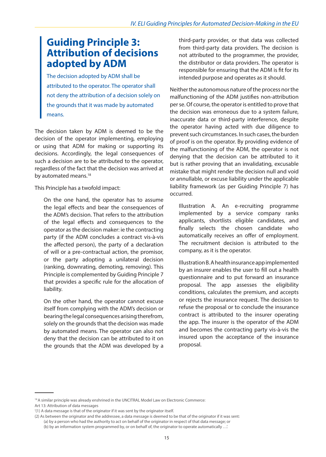#### <span id="page-14-0"></span>**Guiding Principle 3: Attribution of decisions adopted by ADM**

The decision adopted by ADM shall be attributed to the operator. The operator shall not deny the attribution of a decision solely on the grounds that it was made by automated means.

The decision taken by ADM is deemed to be the decision of the operator implementing, employing or using that ADM for making or supporting its decisions. Accordingly, the legal consequences of such a decision are to be attributed to the operator, regardless of the fact that the decision was arrived at by automated means.<sup>18</sup>

This Principle has a twofold impact:

On the one hand, the operator has to assume the legal effects and bear the consequences of the ADM's decision. That refers to the attribution of the legal effects and consequences to the operator as the decision maker: ie the contracting party (if the ADM concludes a contract vis-à-vis the affected person), the party of a declaration of will or a pre-contractual action, the promisor, or the party adopting a unilateral decision (ranking, downrating, demoting, removing). This Principle is complemented by Guiding Principle 7 that provides a specific rule for the allocation of liability.

On the other hand, the operator cannot excuse itself from complying with the ADM's decision or bearing the legal consequences arising therefrom, solely on the grounds that the decision was made by automated means. The operator can also not deny that the decision can be attributed to it on the grounds that the ADM was developed by a

third-party provider, or that data was collected from third-party data providers. The decision is not attributed to the programmer, the provider, the distributor or data providers. The operator is responsible for ensuring that the ADM is fit for its intended purpose and operates as it should.

Neither the autonomous nature of the process nor the malfunctioning of the ADM justifies non-attribution per se. Of course, the operator is entitled to prove that the decision was erroneous due to a system failure, inaccurate data or third-party interference, despite the operator having acted with due diligence to prevent such circumstances. In such cases, the burden of proof is on the operator. By providing evidence of the malfunctioning of the ADM, the operator is not denying that the decision can be attributed to it but is rather proving that an invalidating, excusable mistake that might render the decision null and void or annullable, or excuse liability under the applicable liability framework (as per Guiding Principle 7) has occurred.

Illustration A. An e-recruiting programme implemented by a service company ranks applicants, shortlists eligible candidates, and finally selects the chosen candidate who automatically receives an offer of employment. The recruitment decision is attributed to the company, as it is the operator.

Illustration B. A health insurance app implemented by an insurer enables the user to fill out a health questionnaire and to put forward an insurance proposal. The app assesses the eligibility conditions, calculates the premium, and accepts or rejects the insurance request. The decision to refuse the proposal or to conclude the insurance contract is attributed to the insurer operating the app. The insurer is the operator of the ADM and becomes the contracting party vis-à-vis the insured upon the acceptance of the insurance proposal.

Art 13: Attribution of data messages

<sup>&</sup>lt;sup>18</sup> A similar principle was already enshrined in the UNCITRAL Model Law on Electronic Commerce:

<sup>&#</sup>x27;(1) A data message is that of the originator if it was sent by the originator itself.

<sup>(2)</sup> As between the originator and the addressee, a data message is deemed to be that of the originator if it was sent: (a) by a person who had the authority to act on behalf of the originator in respect of that data message; or

<sup>(</sup>b) by an information system programmed by, or on behalf of, the originator to operate automatically …'.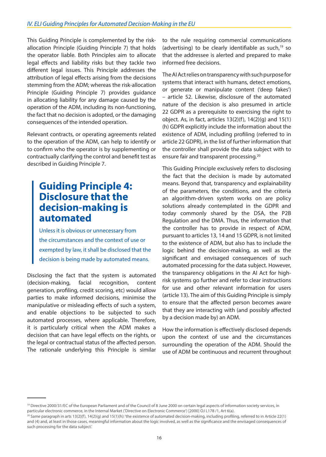<span id="page-15-0"></span>This Guiding Principle is complemented by the riskallocation Principle (Guiding Principle 7) that holds the operator liable. Both Principles aim to allocate legal effects and liability risks but they tackle two different legal issues. This Principle addresses the attribution of legal effects arising from the decisions stemming from the ADM; whereas the risk-allocation Principle (Guiding Principle 7) provides guidance in allocating liability for any damage caused by the operation of the ADM, including its non-functioning, the fact that no decision is adopted, or the damaging consequences of the intended operation.

Relevant contracts, or operating agreements related to the operation of the ADM, can help to identify or to confirm who the operator is by supplementing or contractually clarifying the control and benefit test as described in Guiding Principle 7.

#### **Guiding Principle 4: Disclosure that the decision-making is automated**

Unless it is obvious or unnecessary from the circumstances and the context of use or exempted by law, it shall be disclosed that the decision is being made by automated means.

Disclosing the fact that the system is automated (decision-making, facial recognition, content generation, profiling, credit scoring, etc) would allow parties to make informed decisions, minimise the manipulative or misleading effects of such a system, and enable objections to be subjected to such automated processes, where applicable. Therefore, it is particularly critical when the ADM makes a decision that can have legal effects on the rights, or the legal or contractual status of the affected person. The rationale underlying this Principle is similar to the rule requiring commercial communications (advertising) to be clearly identifiable as such,<sup>19</sup> so that the addressee is alerted and prepared to make informed free decisions.

The AI Act relies on transparency with such purpose for systems that interact with humans, detect emotions, or generate or manipulate content ('deep fakes') – article 52. Likewise, disclosure of the automated nature of the decision is also presumed in article 22 GDPR as a prerequisite to exercising the right to object. As, in fact, articles  $13(2)(f)$ ,  $14(2)(g)$  and  $15(1)$ (h) GDPR explicitly include the information about the existence of ADM, including profiling (referred to in article 22 GDPR), in the list of further information that the controller shall provide the data subject with to ensure fair and transparent processing.<sup>20</sup>

This Guiding Principle exclusively refers to disclosing the fact that the decision is made by automated means. Beyond that, transparency and explainability of the parameters, the conditions, and the criteria an algorithm-driven system works on are policy solutions already contemplated in the GDPR and today commonly shared by the DSA, the P2B Regulation and the DMA. Thus, the information that the controller has to provide in respect of ADM, pursuant to articles 13, 14 and 15 GDPR, is not limited to the existence of ADM, but also has to include the logic behind the decision-making, as well as the significant and envisaged consequences of such automated processing for the data subject. However, the transparency obligations in the AI Act for highrisk systems go further and refer to clear instructions for use and other relevant information for users (article 13). The aim of this Guiding Principle is simply to ensure that the affected person becomes aware that they are interacting with (and possibly affected by a decision made by) an ADM.

How the information is effectively disclosed depends upon the context of use and the circumstances surrounding the operation of the ADM. Should the use of ADM be continuous and recurrent throughout

<sup>&</sup>lt;sup>19</sup> Directive 2000/31/EC of the European Parliament and of the Council of 8 June 2000 on certain legal aspects of information society services, in particular electronic commerce, in the Internal Market ('Directive on Electronic Commerce') [2000] OJ L178 /1, Art 6(a).

<sup>&</sup>lt;sup>20</sup> Same paragraph in arts 13(2)(f), 14(2)(g) and 15(1)(h): 'the existence of automated decision-making, including profiling, referred to in Article 22(1) and (4) and, at least in those cases, meaningful information about the logic involved, as well as the significance and the envisaged consequences of such processing for the data subject.'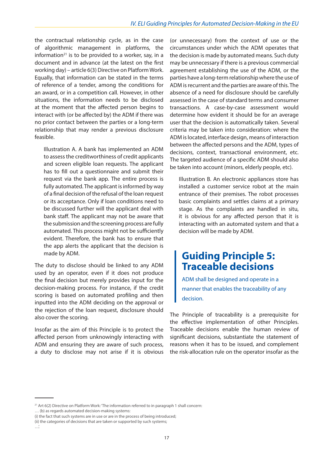<span id="page-16-0"></span>the contractual relationship cycle, as in the case of algorithmic management in platforms, the information<sup>21</sup> is to be provided to a worker, say, in a document and in advance (at the latest on the first working day) – article 6(3) Directive on Platform Work. Equally, that information can be stated in the terms of reference of a tender, among the conditions for an award, or in a competition call. However, in other situations, the information needs to be disclosed at the moment that the affected person begins to interact with (or be affected by) the ADM if there was no prior contact between the parties or a long-term relationship that may render a previous disclosure feasible.

Illustration A. A bank has implemented an ADM to assess the creditworthiness of credit applicants and screen eligible loan requests. The applicant has to fill out a questionnaire and submit their request via the bank app. The entire process is fully automated. The applicant is informed by way of a final decision of the refusal of the loan request or its acceptance. Only if loan conditions need to be discussed further will the applicant deal with bank staff. The applicant may not be aware that the submission and the screening process are fully automated. This process might not be sufficiently evident. Therefore, the bank has to ensure that the app alerts the applicant that the decision is made by ADM.

The duty to disclose should be linked to any ADM used by an operator, even if it does not produce the final decision but merely provides input for the decision-making process. For instance, if the credit scoring is based on automated profiling and then inputted into the ADM deciding on the approval or the rejection of the loan request, disclosure should also cover the scoring.

Insofar as the aim of this Principle is to protect the affected person from unknowingly interacting with ADM and ensuring they are aware of such process, a duty to disclose may not arise if it is obvious (or unnecessary) from the context of use or the circumstances under which the ADM operates that the decision is made by automated means. Such duty may be unnecessary if there is a previous commercial agreement establishing the use of the ADM, or the parties have a long-term relationship where the use of ADM is recurrent and the parties are aware of this. The absence of a need for disclosure should be carefully assessed in the case of standard terms and consumer transactions. A case-by-case assessment would determine how evident it should be for an average user that the decision is automatically taken. Several criteria may be taken into consideration: where the ADM is located, interface design, means of interaction between the affected persons and the ADM, types of decisions, context, transactional environment, etc. The targeted audience of a specific ADM should also be taken into account (minors, elderly people, etc).

Illustration B. An electronic appliances store has installed a customer service robot at the main entrance of their premises. The robot processes basic complaints and settles claims at a primary stage. As the complaints are handled in situ, it is obvious for any affected person that it is interacting with an automated system and that a decision will be made by ADM.

#### **Guiding Principle 5: Traceable decisions**

ADM shall be designed and operate in a manner that enables the traceability of any decision.

The Principle of traceability is a prerequisite for the effective implementation of other Principles. Traceable decisions enable the human review of significant decisions, substantiate the statement of reasons when it has to be issued, and complement the risk-allocation rule on the operator insofar as the

<sup>&</sup>lt;sup>21</sup> Art 6(2) Directive on Platform Work: 'The information referred to in paragraph 1 shall concern: … (b) as regards automated decision-making systems:

<sup>(</sup>i) the fact that such systems are in use or are in the process of being introduced;

<sup>(</sup>ii) the categories of decisions that are taken or supported by such systems;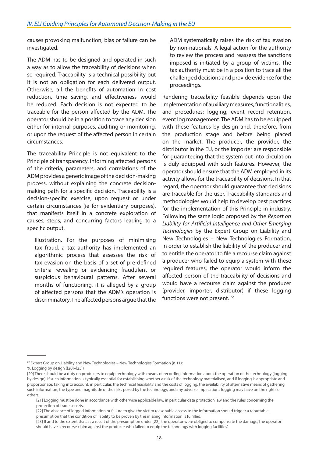causes provoking malfunction, bias or failure can be investigated.

The ADM has to be designed and operated in such a way as to allow the traceability of decisions when so required. Traceability is a technical possibility but it is not an obligation for each delivered output. Otherwise, all the benefits of automation in cost reduction, time saving, and effectiveness would be reduced. Each decision is not expected to be traceable for the person affected by the ADM. The operator should be in a position to trace any decision either for internal purposes, auditing or monitoring, or upon the request of the affected person in certain circumstances.

The traceability Principle is not equivalent to the Principle of transparency. Informing affected persons of the criteria, parameters, and correlations of the ADM provides a generic image of the decision-making process, without explaining the concrete decisionmaking path for a specific decision. Traceability is a decision-specific exercise, upon request or under certain circumstances (ie for evidentiary purposes), that manifests itself in a concrete exploration of causes, steps, and concurring factors leading to a specific output.

Illustration. For the purposes of minimising tax fraud, a tax authority has implemented an algorithmic process that assesses the risk of tax evasion on the basis of a set of pre-defined criteria revealing or evidencing fraudulent or suspicious behavioural patterns. After several months of functioning, it is alleged by a group of affected persons that the ADM's operation is discriminatory. The affected persons argue that the ADM systematically raises the risk of tax evasion by non-nationals. A legal action for the authority to review the process and reassess the sanctions imposed is initiated by a group of victims. The tax authority must be in a position to trace all the challenged decisions and provide evidence for the proceedings.

Rendering traceability feasible depends upon the implementation of auxiliary measures, functionalities, and procedures: logging, event record retention, event log management. The ADM has to be equipped with these features by design and, therefore, from the production stage and before being placed on the market. The producer, the provider, the distributor in the EU, or the importer are responsible for guaranteeing that the system put into circulation is duly equipped with such features. However, the operator should ensure that the ADM employed in its activity allows for the traceability of decisions. In that regard, the operator should guarantee that decisions are traceable for the user. Traceability standards and methodologies would help to develop best practices for the implementation of this Principle in industry. Following the same logic proposed by the *Report on Liability for Artificial Intelligence and Other Emerging Technologies* by the Expert Group on Liability and New Technologies – New Technologies Formation, in order to establish the liability of the producer and to entitle the operator to file a recourse claim against a producer who failed to equip a system with these required features, the operator would inform the affected person of the traceability of decisions and would have a recourse claim against the producer (provider, importer, distributor) if these logging functions were not present.<sup>22</sup>

 $22$  Expert Group on Liability and New Technologies – New Technologies Formation (n 11):

<sup>&#</sup>x27;9. Logging by design ([20]–[23])

<sup>[20]</sup> There should be a duty on producers to equip technology with means of recording information about the operation of the technology (logging by design), if such information is typically essential for establishing whether a risk of the technology materialised, and if logging is appropriate and proportionate, taking into account, in particular, the technical feasibility and the costs of logging, the availability of alternative means of gathering such information, the type and magnitude of the risks posed by the technology, and any adverse implications logging may have on the rights of others.

<sup>[21]</sup> Logging must be done in accordance with otherwise applicable law, in particular data protection law and the rules concerning the protection of trade secrets.

<sup>[22]</sup> The absence of logged information or failure to give the victim reasonable access to the information should trigger a rebuttable presumption that the condition of liability to be proven by the missing information is fulfilled.

<sup>[23]</sup> If and to the extent that, as a result of the presumption under [22], the operator were obliged to compensate the damage, the operator should have a recourse claim against the producer who failed to equip the technology with logging facilities'.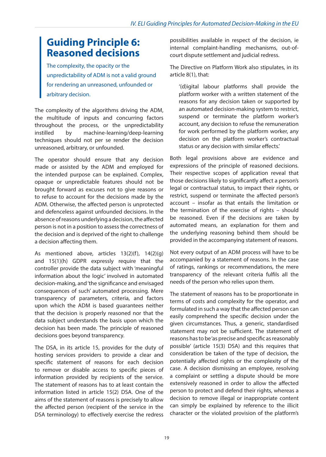#### <span id="page-18-0"></span>**Guiding Principle 6: Reasoned decisions**

The complexity, the opacity or the unpredictability of ADM is not a valid ground for rendering an unreasoned, unfounded or arbitrary decision.

The complexity of the algorithms driving the ADM, the multitude of inputs and concurring factors throughout the process, or the unpredictability instilled by machine-learning/deep-learning techniques should not per se render the decision unreasoned, arbitrary, or unfounded.

The operator should ensure that any decision made or assisted by the ADM and employed for the intended purpose can be explained. Complex, opaque or unpredictable features should not be brought forward as excuses not to give reasons or to refuse to account for the decisions made by the ADM. Otherwise, the affected person is unprotected and defenceless against unfounded decisions. In the absence of reasons underlying a decision, the affected person is not in a position to assess the correctness of the decision and is deprived of the right to challenge a decision affecting them.

As mentioned above, articles 13(2)(f), 14(2)(g) and 15(1)(h) GDPR expressly require that the controller provide the data subject with 'meaningful information about the logic' involved in automated decision-making, and 'the significance and envisaged consequences of such' automated processing. Mere transparency of parameters, criteria, and factors upon which the ADM is based guarantees neither that the decision is properly reasoned nor that the data subject understands the basis upon which the decision has been made. The principle of reasoned decisions goes beyond transparency.

The DSA, in its article 15, provides for the duty of hosting services providers to provide a clear and specific statement of reasons for each decision to remove or disable access to specific pieces of information provided by recipients of the service. The statement of reasons has to at least contain the information listed in article 15(2) DSA. One of the aims of the statement of reasons is precisely to allow the affected person (recipient of the service in the DSA terminology) to effectively exercise the redress possibilities available in respect of the decision, ie internal complaint-handling mechanisms, out-ofcourt dispute settlement and judicial redress.

The Directive on Platform Work also stipulates, in its article 8(1), that:

'(d)igital labour platforms shall provide the platform worker with a written statement of the reasons for any decision taken or supported by an automated decision-making system to restrict, suspend or terminate the platform worker's account, any decision to refuse the remuneration for work performed by the platform worker, any decision on the platform worker's contractual status or any decision with similar effects.'

Both legal provisions above are evidence and expressions of the principle of reasoned decisions. Their respective scopes of application reveal that those decisions likely to significantly affect a person's legal or contractual status, to impact their rights, or restrict, suspend or terminate the affected person's account – insofar as that entails the limitation or the termination of the exercise of rights – should be reasoned. Even if the decisions are taken by automated means, an explanation for them and the underlying reasoning behind them should be provided in the accompanying statement of reasons.

Not every output of an ADM process will have to be accompanied by a statement of reasons. In the case of ratings, rankings or recommendations, the mere transparency of the relevant criteria fulfils all the needs of the person who relies upon them.

The statement of reasons has to be proportionate in terms of costs and complexity for the operator, and formulated in such a way that the affected person can easily comprehend the specific decision under the given circumstances. Thus, a generic, standardised statement may not be sufficient. The statement of reasons has to be 'as precise and specific as reasonably possible' (article 15(3) DSA) and this requires that consideration be taken of the type of decision, the potentially affected rights or the complexity of the case. A decision dismissing an employee, resolving a complaint or settling a dispute should be more extensively reasoned in order to allow the affected person to protect and defend their rights, whereas a decision to remove illegal or inappropriate content can simply be explained by reference to the illicit character or the violated provision of the platform's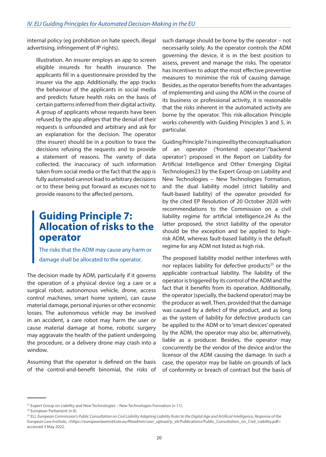<span id="page-19-0"></span>internal policy (eg prohibition on hate speech, illegal advertising, infringement of IP rights).

Illustration. An insurer employs an app to screen eligible insureds for health insurance. The applicants fill in a questionnaire provided by the insurer via the app. Additionally, the app tracks the behaviour of the applicants in social media and predicts future health risks on the basis of certain patterns inferred from their digital activity. A group of applicants whose requests have been refused by the app alleges that the denial of their requests is unfounded and arbitrary and ask for an explanation for the decision. The operator (the insurer) should be in a position to trace the decisions refusing the requests and to provide a statement of reasons. The variety of data collected, the inaccuracy of such information taken from social media or the fact that the app is fully automated cannot lead to arbitrary decisions or to these being put forward as excuses not to provide reasons to the affected persons.

#### **Guiding Principle 7: Allocation of risks to the operator**

The risks that the ADM may cause any harm or damage shall be allocated to the operator.

The decision made by ADM, particularly if it governs the operation of a physical device (eg a care or a surgical robot, autonomous vehicle, drone, access control machines, smart home system), can cause material damage, personal injuries or other economic losses. The autonomous vehicle may be involved in an accident, a care robot may harm the user or cause material damage at home, robotic surgery may aggravate the health of the patient undergoing the procedure, or a delivery drone may crash into a window.

Assuming that the operator is defined on the basis of the control-and-benefit binomial, the risks of such damage should be borne by the operator – not necessarily solely. As the operator controls the ADM governing the device, it is in the best position to assess, prevent and manage the risks. The operator has incentives to adopt the most effective preventive measures to minimise the risk of causing damage. Besides, as the operator benefits from the advantages of implementing and using the ADM in the course of its business or professional activity, it is reasonable that the risks inherent in the automated activity are borne by the operator. This risk-allocation Principle works coherently with Guiding Principles 3 and 5, in particular.

Guiding Principle 7 is inspired by the conceptualisation of an operator ('frontend operator'/'backend operator') proposed in the Report on Liability for Artificial Intelligence and Other Emerging Digital Technologies23 by the Expert Group on Liability and New Technologies – New Technologies Formation, and the dual liability model (strict liability and fault-based liability) of the operator provided for by the cited EP Resolution of 20 October 2020 with recommendations to the Commission on a civil liability regime for artificial intelligence.24 As the latter proposed, the strict liability of the operator should be the exception and be applied to highrisk ADM, whereas fault-based liability is the default regime for any ADM not listed as high risk.

The proposed liability model neither interferes with nor replaces liability for defective products<sup>25</sup> or the applicable contractual liability. The liability of the operator is triggered by its control of the ADM and the fact that it benefits from its operation. Additionally, the operator (specially, the backend operator) may be the producer as well. Then, provided that the damage was caused by a defect of the product, and as long as the system of liability for defective products can be applied to the ADM or to 'smart devices' operated by the ADM, the operator may also be, alternatively, liable as a producer. Besides, the operator may concurrently be the vendor of the device and/or the licensor of the ADM causing the damage. In such a case, the operator may be liable on grounds of lack of conformity or breach of contract but the basis of

<sup>&</sup>lt;sup>23</sup> Expert Group on Liability and New Technologies - New Technologies Formation (n 11).

<sup>&</sup>lt;sup>24</sup> European Parliament (n 8).

<sup>25</sup> ELI, *European Commission's Public Consultation on Civil Liability Adapting Liability Rules to the Digital Age and Artificial Intelligence, Response of the European Law Institute,* <https://europeanlawinstitute.eu/fileadmin/user\_upload/p\_eli/Publications/Public\_Consultation\_on\_Civil\_Liability.pdf> accessed 3 May 2022.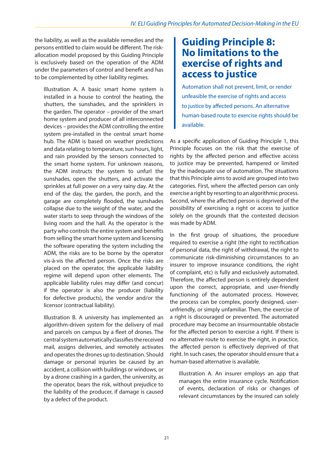<span id="page-20-0"></span>the liability, as well as the available remedies and the persons entitled to claim would be different. The riskallocation model proposed by this Guiding Principle is exclusively based on the operation of the ADM under the parameters of control and benefit and has to be complemented by other liability regimes.

Illustration A. A basic smart home system is installed in a house to control the heating, the shutters, the sunshades, and the sprinklers in the garden. The operator – provider of the smart home system and producer of all interconnected devices – provides the ADM controlling the entire system pre-installed in the central smart home hub. The ADM is based on weather predictions and data relating to temperature, sun hours, light, and rain provided by the sensors connected to the smart home system. For unknown reasons, the ADM instructs the system to unfurl the sunshades, open the shutters, and activate the sprinkles at full power on a very rainy day. At the end of the day, the garden, the porch, and the garage are completely flooded, the sunshades collapse due to the weight of the water, and the water starts to seep through the windows of the living room and the hall. As the operator is the party who controls the entire system and benefits from selling the smart home system and licensing the software operating the system including the ADM, the risks are to be borne by the operator vis-à-vis the affected person. Once the risks are placed on the operator, the applicable liability regime will depend upon other elements. The applicable liability rules may differ (and concur) if the operator is also the producer (liability for defective products), the vendor and/or the licensor (contractual liability).

Illustration B. A university has implemented an algorithm-driven system for the delivery of mail and parcels on campus by a fleet of drones. The central system automatically classifies the received mail, assigns deliveries, and remotely activates and operates the drones up to destination. Should damage or personal injuries be caused by an accident, a collision with buildings or windows, or by a drone crashing in a garden, the university, as the operator, bears the risk, without prejudice to the liability of the producer, if damage is caused by a defect of the product.

#### **Guiding Principle 8: No limitations to the exercise of rights and access to justice**

Automation shall not prevent, limit, or render unfeasible the exercise of rights and access to justice by affected persons. An alternative human-based route to exercise rights should be available.

As a specific application of Guiding Principle 1, this Principle focuses on the risk that the exercise of rights by the affected person and effective access to justice may be prevented, hampered or limited by the inadequate use of automation. The situations that this Principle aims to avoid are grouped into two categories. First, where the affected person can only exercise a right by resorting to an algorithmic process. Second, where the affected person is deprived of the possibility of exercising a right or access to justice solely on the grounds that the contested decision was made by ADM.

In the first group of situations, the procedure required to exercise a right (the right to rectification of personal data, the right of withdrawal, the right to communicate risk-diminishing circumstances to an insurer to improve insurance conditions, the right of complaint, etc) is fully and exclusively automated. Therefore, the affected person is entirely dependent upon the correct, appropriate, and user-friendly functioning of the automated process. However, the process can be complex, poorly designed, userunfriendly, or simply unfamiliar. Then, the exercise of a right is discouraged or prevented. The automated procedure may become an insurmountable obstacle for the affected person to exercise a right. If there is no alternative route to exercise the right, in practice, the affected person is effectively deprived of that right. In such cases, the operator should ensure that a human-based alternative is available.

Illustration A. An insurer employs an app that manages the entire insurance cycle. Notification of events, declaration of risks or changes of relevant circumstances by the insured can solely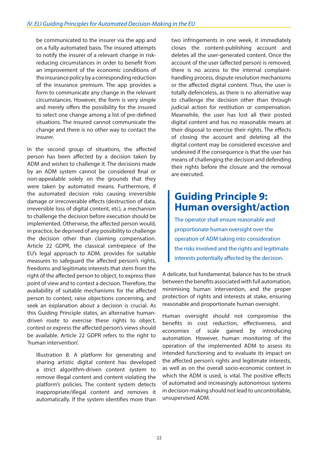<span id="page-21-0"></span>be communicated to the insurer via the app and on a fully automated basis. The insured attempts to notify the insurer of a relevant change in riskreducing circumstances in order to benefit from an improvement of the economic conditions of the insurance policy by a corresponding reduction of the insurance premium. The app provides a form to communicate any change in the relevant circumstances. However, the form is very simple and merely offers the possibility for the insured to select one change among a list of pre-defined situations. The insured cannot communicate the change and there is no other way to contact the insurer.

In the second group of situations, the affected person has been affected by a decision taken by ADM and wishes to challenge it. The decisions made by an ADM system cannot be considered final or non-appealable solely on the grounds that they were taken by automated means. Furthermore, if the automated decision risks causing irreversible damage or irrecoverable effects (destruction of data, irreversible loss of digital content, etc), a mechanism to challenge the decision before execution should be implemented. Otherwise, the affected person would, in practice, be deprived of any possibility to challenge the decision other than claiming compensation. Article 22 GDPR, the classical centrepiece of the EU's legal approach to ADM, provides for suitable measures to safeguard the affected person's rights, freedoms and legitimate interests that stem from the right of the affected person to object, to express their point of view and to contest a decision. Therefore, the availability of suitable mechanisms for the affected person to contest, raise objections concerning, and seek an explanation about a decision is crucial. As this Guiding Principle states, an alternative humandriven route to exercise these rights to object, contest or express the affected person's views should be available. Article 22 GDPR refers to the right to 'human intervention'.

Illustration B. A platform for generating and sharing artistic digital content has developed a strict algorithm-driven content system to remove illegal content and content violating the platform's policies. The content system detects inappropriate/illegal content and removes it automatically. If the system identifies more than two infringements in one week, it immediately closes the content-publishing account and deletes all the user-generated content. Once the account of the user (affected person) is removed, there is no access to the internal complainthandling process, dispute resolution mechanisms or the affected digital content. Thus, the user is totally defenceless, as there is no alternative way to challenge the decision other than through judicial action for restitution or compensation. Meanwhile, the user has lost all their posted digital content and has no reasonable means at their disposal to exercise their rights. The effects of closing the account and deleting all the digital content may be considered excessive and undesired if the consequence is that the user has means of challenging the decision and defending their rights before the closure and the removal are executed.

#### **Guiding Principle 9: Human oversight/action**

The operator shall ensure reasonable and proportionate human oversight over the operation of ADM taking into consideration the risks involved and the rights and legitimate interests potentially affected by the decision.

A delicate, but fundamental, balance has to be struck between the benefits associated with full automation, minimising human intervention, and the proper protection of rights and interests at stake, ensuring reasonable and proportionate human oversight.

Human oversight should not compromise the benefits in cost reduction, effectiveness, and economies of scale gained by introducing automation. However, human monitoring of the operation of the implemented ADM to assess its intended functioning and to evaluate its impact on the affected person's rights and legitimate interests, as well as on the overall socio-economic context in which the ADM is used, is vital. The positive effects of automated and increasingly autonomous systems in decision-making should not lead to uncontrollable, unsupervised ADM.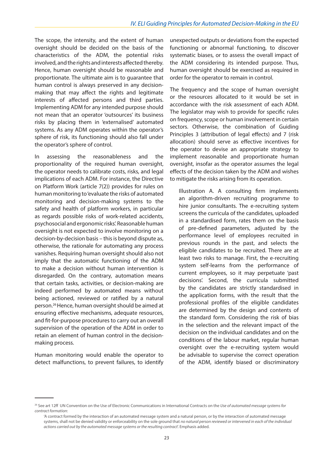The scope, the intensity, and the extent of human oversight should be decided on the basis of the characteristics of the ADM, the potential risks involved, and the rights and interests affected thereby. Hence, human oversight should be reasonable and proportionate. The ultimate aim is to guarantee that human control is always preserved in any decisionmaking that may affect the rights and legitimate interests of affected persons and third parties. Implementing ADM for any intended purpose should not mean that an operator 'outsources' its business risks by placing them in 'externalised' automated systems. As any ADM operates within the operator's sphere of risk, its functioning should also fall under the operator's sphere of control.

In assessing the reasonableness and the proportionality of the required human oversight, the operator needs to calibrate costs, risks, and legal implications of each ADM. For instance, the Directive on Platform Work (article 7(2)) provides for rules on human monitoring to 'evaluate the risks of automated monitoring and decision-making systems to the safety and health of platform workers, in particular as regards possible risks of work-related accidents, psychosocial and ergonomic risks'. Reasonable human oversight is not expected to involve monitoring on a decision-by-decision basis – this is beyond dispute as, otherwise, the rationale for automating any process vanishes. Requiring human oversight should also not imply that the automatic functioning of the ADM to make a decision without human intervention is disregarded. On the contrary, automation means that certain tasks, activities, or decision-making are indeed performed by automated means without being actioned, reviewed or ratified by a natural person.26 Hence, human oversight should be aimed at ensuring effective mechanisms, adequate resources, and fit-for-purpose procedures to carry out an overall supervision of the operation of the ADM in order to retain an element of human control in the decisionmaking process.

Human monitoring would enable the operator to detect malfunctions, to prevent failures, to identify unexpected outputs or deviations from the expected functioning or abnormal functioning, to discover systematic biases, or to assess the overall impact of the ADM considering its intended purpose. Thus, human oversight should be exercised as required in order for the operator to remain in control.

The frequency and the scope of human oversight or the resources allocated to it would be set in accordance with the risk assessment of each ADM. The legislator may wish to provide for specific rules on frequency, scope or human involvement in certain sectors. Otherwise, the combination of Guiding Principles 3 (attribution of legal effects) and 7 (risk allocation) should serve as effective incentives for the operator to devise an appropriate strategy to implement reasonable and proportionate human oversight, insofar as the operator assumes the legal effects of the decision taken by the ADM and wishes to mitigate the risks arising from its operation.

Illustration A. A consulting firm implements an algorithm-driven recruiting programme to hire junior consultants. The e-recruiting system screens the curricula of the candidates, uploaded in a standardised form, rates them on the basis of pre-defined parameters, adjusted by the performance level of employees recruited in previous rounds in the past, and selects the eligible candidates to be recruited. There are at least two risks to manage. First, the e-recruiting system self-learns from the performance of current employees, so it may perpetuate 'past decisions'. Second, the curricula submitted by the candidates are strictly standardised in the application forms, with the result that the professional profiles of the eligible candidates are determined by the design and contents of the standard form. Considering the risk of bias in the selection and the relevant impact of the decision on the individual candidates and on the conditions of the labour market, regular human oversight over the e-recruiting system would be advisable to supervise the correct operation of the ADM, identify biased or discriminatory

<sup>26</sup> See art 12ff UN Convention on the Use of Electronic Communications in International Contracts on the *Use of automated message systems for contract formation*:

<sup>&#</sup>x27;A contract formed by the interaction of an automated message system and a natural person, or by the interaction of automated message systems, shall not be denied validity or enforceability on the sole ground that *no natural person reviewed or intervened in each of the individual actions carried out by the automated message systems or the resulting contract*'. Emphasis added.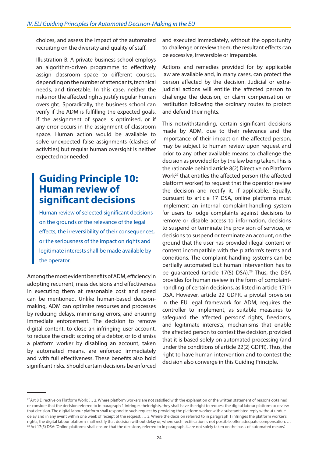<span id="page-23-0"></span>choices, and assess the impact of the automated recruiting on the diversity and quality of staff.

Illustration B. A private business school employs an algorithm-driven programme to effectively assign classroom space to different courses, depending on the number of attendants, technical needs, and timetable. In this case, neither the risks nor the affected rights justify regular human oversight. Sporadically, the business school can verify if the ADM is fulfilling the expected goals, if the assignment of space is optimised, or if any error occurs in the assignment of classroom space. Human action would be available to solve unexpected false assignments (clashes of activities) but regular human oversight is neither expected nor needed.

#### **Guiding Principle 10: Human review of significant decisions**

Human review of selected significant decisions on the grounds of the relevance of the legal effects, the irreversibility of their consequences, or the seriousness of the impact on rights and legitimate interests shall be made available by the operator.

Among the most evident benefits of ADM, efficiency in adopting recurrent, mass decisions and effectiveness in executing them at reasonable cost and speed can be mentioned. Unlike human-based decisionmaking, ADM can optimise resourses and processes by reducing delays, minimising errors, and ensuring immediate enforcement. The decision to remove digital content, to close an infringing user account, to reduce the credit scoring of a debtor, or to dismiss a platform worker by disabling an account, taken by automated means, are enforced immediately and with full effectiveness. These benefits also hold significant risks. Should certain decisions be enforced and executed immediately, without the opportunity to challenge or review them, the resultant effects can be excessive, irreversible or irreparable.

Actions and remedies provided for by applicable law are available and, in many cases, can protect the person affected by the decision. Judicial or extrajudicial actions will entitle the affected person to challenge the decision, or claim compensation or restitution following the ordinary routes to protect and defend their rights.

This notwithstanding, certain significant decisions made by ADM, due to their relevance and the importance of their impact on the affected person, may be subject to human review upon request and prior to any other available means to challenge the decision as provided for by the law being taken. This is the rationale behind article 8(2) Directive on Platform Work27 that entitles the affected person (the affected platform worker) to request that the operator review the decision and rectify it, if applicable. Equally, pursuant to article 17 DSA, online platforms must implement an internal complaint-handling system for users to lodge complaints against decisions to remove or disable access to information, decisions to suspend or terminate the provision of services, or decisions to suspend or terminate an account, on the ground that the user has provided illegal content or content incompatible with the platform's terms and conditions. The complaint-handling systems can be partially automated but human intervention has to be guaranteed (article 17(5) DSA).<sup>28</sup> Thus, the DSA provides for human review in the form of complainthandling of certain decisions, as listed in article 17(1) DSA. However, article 22 GDPR, a pivotal provision in the EU legal framework for ADM, requires the controller to implement, as suitable measures to safeguard the affected persons' rights, freedoms, and legitimate interests, mechanisms that enable the affected person to contest the decision, provided that it is based solely on automated processing (and under the conditions of article 22(2) GDPR). Thus, the right to have human intervention and to contest the decision also converge in this Guiding Principle.

<sup>&</sup>lt;sup>27</sup> Art 8 Directive on Platform Work: '... 2. Where platform workers are not satisfied with the explanation or the written statement of reasons obtained or consider that the decision referred to in paragraph 1 infringes their rights, they shall have the right to request the digital labour platform to review that decision. The digital labour platform shall respond to such request by providing the platform worker with a substantiated reply without undue delay and in any event within one week of receipt of the request. … 3. Where the decision referred to in paragraph 1 infringes the platform worker's rights, the digital labour platform shall rectify that decision without delay or, where such rectification is not possible, offer adequate compensation. …' <sup>28</sup> Art 17(5) DSA: 'Online platforms shall ensure that the decisions, referred to in paragraph 4, are not solely taken on the basis of automated means'.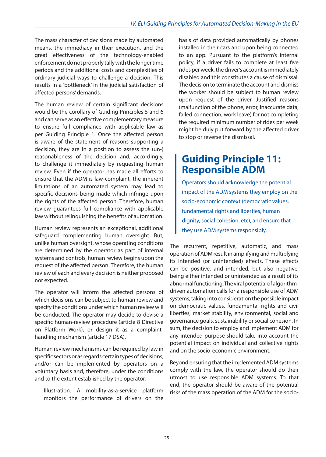<span id="page-24-0"></span>The mass character of decisions made by automated means, the immediacy in their execution, and the great effectiveness of the technology-enabled enforcement do not properly tally with the longer time periods and the additional costs and complexities of ordinary judicial ways to challenge a decision. This results in a 'bottleneck' in the judicial satisfaction of affected persons' demands.

The human review of certain significant decisions would be the corollary of Guiding Principles 5 and 6 and can serve as an effective complementary measure to ensure full compliance with applicable law as per Guiding Principle 1. Once the affected person is aware of the statement of reasons supporting a decision, they are in a position to assess the (un-) reasonableness of the decision and, accordingly, to challenge it immediately by requesting human review. Even if the operator has made all efforts to ensure that the ADM is law-complaint, the inherent limitations of an automated system may lead to specific decisions being made which infringe upon the rights of the affected person. Therefore, human review guarantees full compliance with applicable law without relinquishing the benefits of automation.

Human review represents an exceptional, additional safeguard complementing human oversight. But, unlike human oversight, whose operating conditions are determined by the operator as part of internal systems and controls, human review begins upon the request of the affected person. Therefore, the human review of each and every decision is neither proposed nor expected.

The operator will inform the affected persons of which decisions can be subject to human review and specify the conditions under which human review will be conducted. The operator may decide to devise a specific human-review procedure (article 8 Directive on Platform Work), or design it as a complainthandling mechanism (article 17 DSA).

Human review mechanisms can be required by law in specific sectors or as regards certain types of decisions, and/or can be implemented by operators on a voluntary basis and, therefore, under the conditions and to the extent established by the operator.

Illustration. A mobility-as-a-service platform monitors the performance of drivers on the

basis of data provided automatically by phones installed in their cars and upon being connected to an app. Pursuant to the platform's internal policy, if a driver fails to complete at least five rides per week, the driver's account is immediately disabled and this constitutes a cause of dismissal. The decision to terminate the account and dismiss the worker should be subject to human review upon request of the driver. Justified reasons (malfunction of the phone, error, inaccurate data, failed connection, work leave) for not completing the required minimum number of rides per week might be duly put forward by the affected driver to stop or reverse the dismissal.

#### **Guiding Principle 11: Responsible ADM**

Operators should acknowledge the potential impact of the ADM systems they employ on the socio-economic context (democratic values, fundamental rights and liberties, human dignity, social cohesion, etc), and ensure that they use ADM systems responsibly.

The recurrent, repetitive, automatic, and mass operation of ADM result in amplifying and multiplying its intended (or unintended) effects. These effects can be positive, and intended, but also negative, being either intended or unintended as a result of its abnormal functioning. The viral potential of algorithmdriven automation calls for a responsible use of ADM systems, taking into consideration the possible impact on democratic values, fundamental rights and civil liberties, market stability, environmental, social and governance goals, sustainability or social cohesion. In sum, the decision to employ and implement ADM for any intended purpose should take into account the potential impact on individual and collective rights and on the socio-economic environment.

Beyond ensuring that the implemented ADM systems comply with the law, the operator should do their utmost to use responsible ADM systems. To that end, the operator should be aware of the potential risks of the mass operation of the ADM for the socio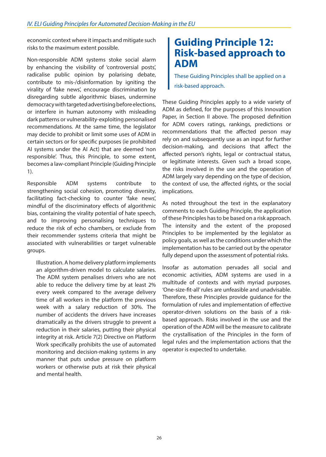<span id="page-25-0"></span>economic context where it impacts and mitigate such risks to the maximum extent possible.

Non-responsible ADM systems stoke social alarm by enhancing the visibility of 'controversial posts', radicalise public opinion by polarising debate, contribute to mis-/disinformation by igniting the virality of 'fake news', encourage discrimination by disregarding subtle algorithmic biases, undermine democracy with targeted advertising before elections, or interfere in human autonomy with misleading dark patterns or vulnerability-exploiting personalised recommendations. At the same time, the legislator may decide to prohibit or limit some uses of ADM in certain sectors or for specific purposes (ie prohibited AI systems under the AI Act) that are deemed 'non responsible'. Thus, this Principle, to some extent, becomes a law-compliant Principle (Guiding Principle 1).

Responsible ADM systems contribute to strengthening social cohesion, promoting diversity, facilitating fact-checking to counter 'fake news', mindful of the discriminatory effects of algorithmic bias, containing the virality potential of hate speech, and to improving personalising techniques to reduce the risk of echo chambers, or exclude from their recommender systems criteria that might be associated with vulnerabilities or target vulnerable groups.

Illustration. A home delivery platform implements an algorithm-driven model to calculate salaries. The ADM system penalises drivers who are not able to reduce the delivery time by at least 2% every week compared to the average delivery time of all workers in the platform the previous week with a salary reduction of 30%. The number of accidents the drivers have increases dramatically as the drivers struggle to prevent a reduction in their salaries, putting their physical integrity at risk. Article 7(2) Directive on Platform Work specifically prohibits the use of automated monitoring and decision-making systems in any manner that puts undue pressure on platform workers or otherwise puts at risk their physical and mental health.

#### **Guiding Principle 12: Risk-based approach to ADM**

These Guiding Principles shall be applied on a risk-based approach.

These Guiding Principles apply to a wide variety of ADM as defined, for the purposes of this Innovation Paper, in Section II above. The proposed definition for ADM covers ratings, rankings, predictions or recommendations that the affected person may rely on and subsequently use as an input for further decision-making, and decisions that affect the affected person's rights, legal or contractual status, or legitimate interests. Given such a broad scope, the risks involved in the use and the operation of ADM largely vary depending on the type of decision, the context of use, the affected rights, or the social implications.

As noted throughout the text in the explanatory comments to each Guiding Principle, the application of these Principles has to be based on a risk approach. The intensity and the extent of the proposed Principles to be implemented by the legislator as policy goals, as well as the conditions under which the implementation has to be carried out by the operator fully depend upon the assessment of potential risks.

Insofar as automation pervades all social and economic activities, ADM systems are used in a multitude of contexts and with myriad purposes. 'One-size-fit-all' rules are unfeasible and unadvisable. Therefore, these Principles provide guidance for the formulation of rules and implementation of effective operator-driven solutions on the basis of a riskbased approach. Risks involved in the use and the operation of the ADM will be the measure to calibrate the crystallisation of the Principles in the form of legal rules and the implementation actions that the operator is expected to undertake.